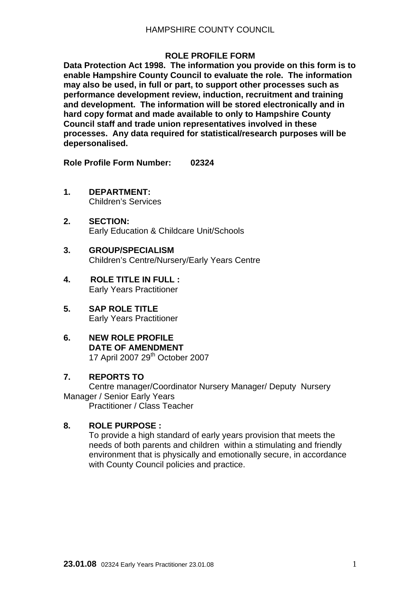#### **ROLE PROFILE FORM**

**Data Protection Act 1998. The information you provide on this form is to enable Hampshire County Council to evaluate the role. The information may also be used, in full or part, to support other processes such as performance development review, induction, recruitment and training and development. The information will be stored electronically and in hard copy format and made available to only to Hampshire County Council staff and trade union representatives involved in these processes. Any data required for statistical/research purposes will be depersonalised.** 

**Role Profile Form Number: 02324** 

- **1. DEPARTMENT:**  Children's Services
- **2. SECTION:**  Early Education & Childcare Unit/Schools
- **3. GROUP/SPECIALISM**  Children's Centre/Nursery/Early Years Centre
- **4. ROLE TITLE IN FULL :**  Early Years Practitioner
- **5. SAP ROLE TITLE**  Early Years Practitioner
- **6. NEW ROLE PROFILE DATE OF AMENDMENT**  17 April 2007 29<sup>th</sup> October 2007

#### **7. REPORTS TO**

Centre manager/Coordinator Nursery Manager/ Deputy Nursery Manager / Senior Early Years Practitioner / Class Teacher

## **8. ROLE PURPOSE :**

To provide a high standard of early years provision that meets the needs of both parents and children within a stimulating and friendly environment that is physically and emotionally secure, in accordance with County Council policies and practice.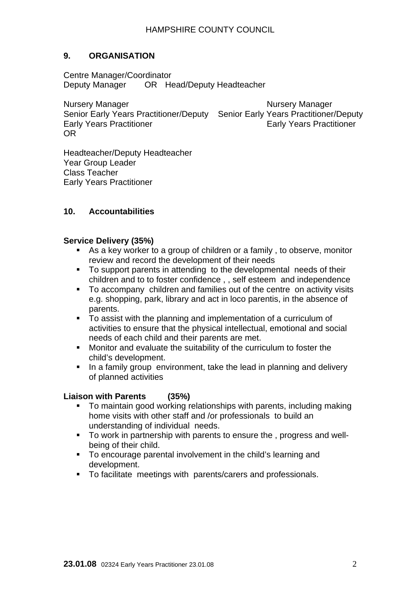# **9. ORGANISATION**

Centre Manager/Coordinator Deputy Manager OR Head/Deputy Headteacher

Nursery Manager Nursery Manager Senior Early Years Practitioner/Deputy Senior Early Years Practitioner/Deputy Early Years Practitioner **Early Years Practitioner** OR

Headteacher/Deputy Headteacher Year Group Leader Class Teacher Early Years Practitioner

### **10. Accountabilities**

#### **Service Delivery (35%)**

- As a key worker to a group of children or a family , to observe, monitor review and record the development of their needs
- To support parents in attending to the developmental needs of their children and to to foster confidence , , self esteem and independence
- To accompany children and families out of the centre on activity visits e.g. shopping, park, library and act in loco parentis, in the absence of parents.
- To assist with the planning and implementation of a curriculum of activities to ensure that the physical intellectual, emotional and social needs of each child and their parents are met.
- Monitor and evaluate the suitability of the curriculum to foster the child's development.
- In a family group environment, take the lead in planning and delivery of planned activities

#### **Liaison with Parents (35%)**

- To maintain good working relationships with parents, including making home visits with other staff and /or professionals to build an understanding of individual needs.
- To work in partnership with parents to ensure the, progress and wellbeing of their child.
- To encourage parental involvement in the child's learning and development.
- To facilitate meetings with parents/carers and professionals.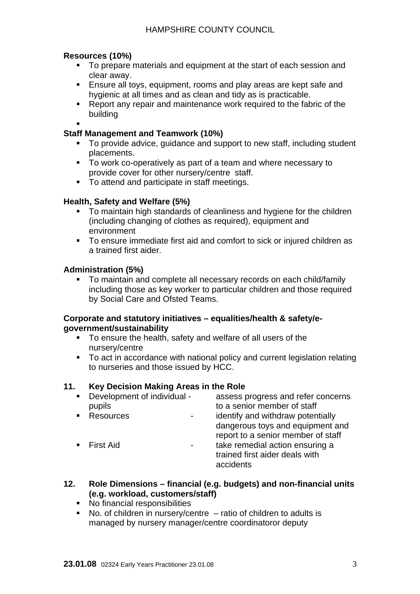# **Resources (10%)**

- To prepare materials and equipment at the start of each session and clear away.
- **Ensure all tovs, equipment, rooms and play areas are kept safe and** hygienic at all times and as clean and tidy as is practicable.
- Report any repair and maintenance work required to the fabric of the building

 $\blacksquare$ 

# **Staff Management and Teamwork (10%)**

- To provide advice, quidance and support to new staff, including student placements.
- $\overline{\phantom{a}}$  To work co-operatively as part of a team and where necessary to provide cover for other nursery/centre staff.
- To attend and participate in staff meetings.

## **Health, Safety and Welfare (5%)**

- **To maintain high standards of cleanliness and hygiene for the children** (including changing of clothes as required), equipment and environment
- To ensure immediate first aid and comfort to sick or injured children as a trained first aider.

## **Administration (5%)**

• To maintain and complete all necessary records on each child/family including those as key worker to particular children and those required by Social Care and Ofsted Teams.

### **Corporate and statutory initiatives – equalities/health & safety/egovernment/sustainability**

- To ensure the health, safety and welfare of all users of the nursery/centre
- To act in accordance with national policy and current legislation relating to nurseries and those issued by HCC.

## **11. Key Decision Making Areas in the Role**

- **Development of individual The assess progress and refer concerns** pupils to a senior member of staff **Resources** - identify and withdraw potentially dangerous toys and equipment and report to a senior member of staff First Aid **First Aid First Aid First Aid First Aid Fig. 2 1** trained first aider deals with accidents
- **12. Role Dimensions financial (e.g. budgets) and non-financial units (e.g. workload, customers/staff)** 
	- No financial responsibilities
	- No. of children in nursery/centre ratio of children to adults is managed by nursery manager/centre coordinatoror deputy